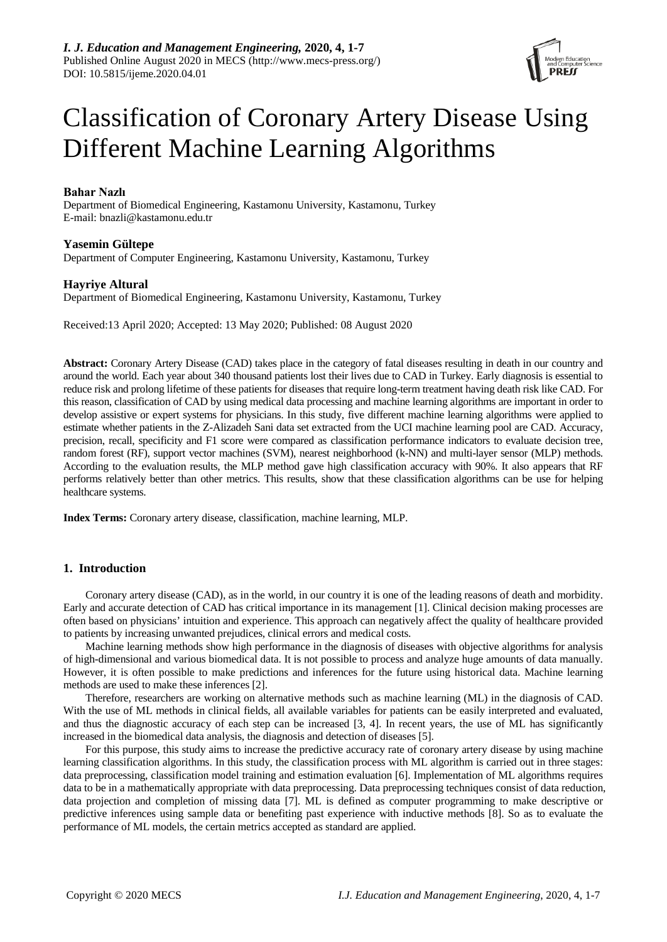

# Classification of Coronary Artery Disease Using Different Machine Learning Algorithms

## **Bahar Nazlı**

Department of Biomedical Engineering, Kastamonu University, Kastamonu, Turkey E-mail: [bnazli@kastamonu.edu.tr](mailto:bnazli@kastamonu.edu.tr)

## **Yasemin Gültepe**

Department of Computer Engineering, Kastamonu University, Kastamonu, Turkey

## **Hayriye Altural**

Department of Biomedical Engineering, Kastamonu University, Kastamonu, Turkey

Received:13 April 2020; Accepted: 13 May 2020; Published: 08 August 2020

**Abstract:** Coronary Artery Disease (CAD) takes place in the category of fatal diseases resulting in death in our country and around the world. Each year about 340 thousand patients lost their lives due to CAD in Turkey. Early diagnosis is essential to reduce risk and prolong lifetime of these patients for diseases that require long-term treatment having death risk like CAD. For this reason, classification of CAD by using medical data processing and machine learning algorithms are important in order to develop assistive or expert systems for physicians. In this study, five different machine learning algorithms were applied to estimate whether patients in the Z-Alizadeh Sani data set extracted from the UCI machine learning pool are CAD. Accuracy, precision, recall, specificity and F1 score were compared as classification performance indicators to evaluate decision tree, random forest (RF), support vector machines (SVM), nearest neighborhood (k-NN) and multi-layer sensor (MLP) methods. According to the evaluation results, the MLP method gave high classification accuracy with 90%. It also appears that RF performs relatively better than other metrics. This results, show that these classification algorithms can be use for helping healthcare systems.

**Index Terms:** Coronary artery disease, classification, machine learning, MLP.

## **1. Introduction**

Coronary artery disease (CAD), as in the world, in our country it is one of the leading reasons of death and morbidity. Early and accurate detection of CAD has critical importance in its management [1]. Clinical decision making processes are often based on physicians' intuition and experience. This approach can negatively affect the quality of healthcare provided to patients by increasing unwanted prejudices, clinical errors and medical costs.

Machine learning methods show high performance in the diagnosis of diseases with objective algorithms for analysis of high-dimensional and various biomedical data. It is not possible to process and analyze huge amounts of data manually. However, it is often possible to make predictions and inferences for the future using historical data. Machine learning methods are used to make these inferences [2].

Therefore, researchers are working on alternative methods such as machine learning (ML) in the diagnosis of CAD. With the use of ML methods in clinical fields, all available variables for patients can be easily interpreted and evaluated, and thus the diagnostic accuracy of each step can be increased [3, 4]. In recent years, the use of ML has significantly increased in the biomedical data analysis, the diagnosis and detection of diseases [5].

For this purpose, this study aims to increase the predictive accuracy rate of coronary artery disease by using machine learning classification algorithms. In this study, the classification process with ML algorithm is carried out in three stages: data preprocessing, classification model training and estimation evaluation [6]. Implementation of ML algorithms requires data to be in a mathematically appropriate with data preprocessing. Data preprocessing techniques consist of data reduction, data projection and completion of missing data [7]. ML is defined as computer programming to make descriptive or predictive inferences using sample data or benefiting past experience with inductive methods [8]. So as to evaluate the performance of ML models, the certain metrics accepted as standard are applied.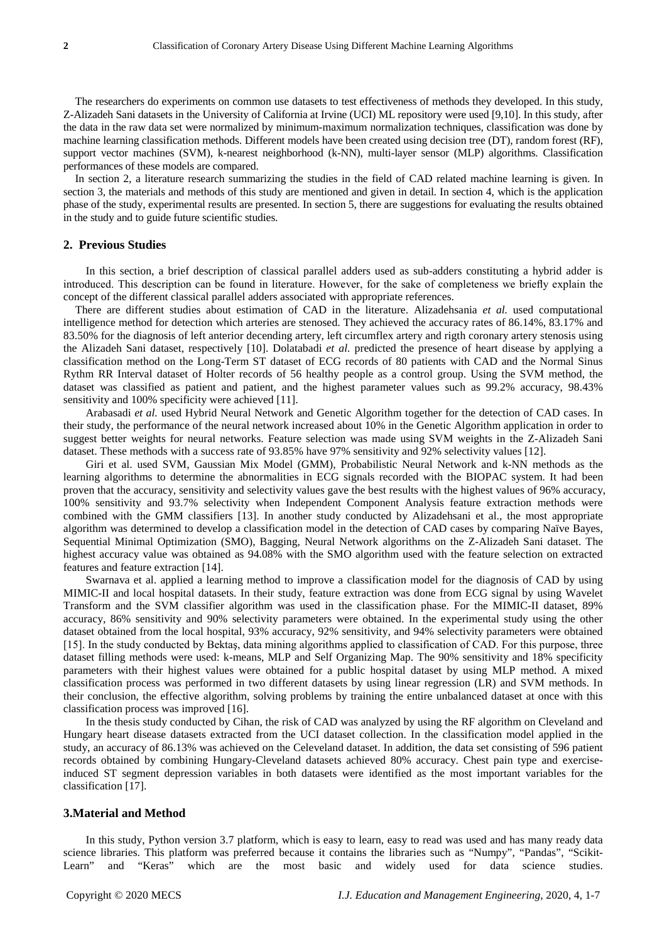The researchers do experiments on common use datasets to test effectiveness of methods they developed. In this study, Z-Alizadeh Sani datasets in the University of California at Irvine (UCI) ML repository were used [9,10]. In this study, after the data in the raw data set were normalized by minimum-maximum normalization techniques, classification was done by machine learning classification methods. Different models have been created using decision tree (DT), random forest (RF), support vector machines (SVM), k-nearest neighborhood (k-NN), multi-layer sensor (MLP) algorithms. Classification performances of these models are compared.

In section 2, a literature research summarizing the studies in the field of CAD related machine learning is given. In section 3, the materials and methods of this study are mentioned and given in detail. In section 4, which is the application phase of the study, experimental results are presented. In section 5, there are suggestions for evaluating the results obtained in the study and to guide future scientific studies.

## **2. Previous Studies**

In this section, a brief description of classical parallel adders used as sub-adders constituting a hybrid adder is introduced. This description can be found in literature. However, for the sake of completeness we briefly explain the concept of the different classical parallel adders associated with appropriate references.

There are different studies about estimation of CAD in the literature. Alizadehsania *et al.* used computational intelligence method for detection which arteries are stenosed. They achieved the accuracy rates of 86.14%, 83.17% and 83.50% for the diagnosis of left anterior decending artery, left circumflex artery and rigth coronary artery stenosis using the Alizadeh Sani dataset, respectively [10]. Dolatabadi *et al.* predicted the presence of heart disease by applying a classification method on the Long-Term ST dataset of ECG records of 80 patients with CAD and the Normal Sinus Rythm RR Interval dataset of Holter records of 56 healthy people as a control group. Using the SVM method, the dataset was classified as patient and patient, and the highest parameter values such as 99.2% accuracy, 98.43% sensitivity and 100% specificity were achieved [11].

Arabasadi *et al.* used Hybrid Neural Network and Genetic Algorithm together for the detection of CAD cases. In their study, the performance of the neural network increased about 10% in the Genetic Algorithm application in order to suggest better weights for neural networks. Feature selection was made using SVM weights in the Z-Alizadeh Sani dataset. These methods with a success rate of 93.85% have 97% sensitivity and 92% selectivity values [12].

Giri et al. used SVM, Gaussian Mix Model (GMM), Probabilistic Neural Network and k-NN methods as the learning algorithms to determine the abnormalities in ECG signals recorded with the BIOPAC system. It had been proven that the accuracy, sensitivity and selectivity values gave the best results with the highest values of 96% accuracy, 100% sensitivity and 93.7% selectivity when Independent Component Analysis feature extraction methods were combined with the GMM classifiers [13]. In another study conducted by Alizadehsani et al., the most appropriate algorithm was determined to develop a classification model in the detection of CAD cases by comparing Naïve Bayes, Sequential Minimal Optimization (SMO), Bagging, Neural Network algorithms on the Z-Alizadeh Sani dataset. The highest accuracy value was obtained as 94.08% with the SMO algorithm used with the feature selection on extracted features and feature extraction [14].

Swarnava et al. applied a learning method to improve a classification model for the diagnosis of CAD by using MIMIC-II and local hospital datasets. In their study, feature extraction was done from ECG signal by using Wavelet Transform and the SVM classifier algorithm was used in the classification phase. For the MIMIC-II dataset, 89% accuracy, 86% sensitivity and 90% selectivity parameters were obtained. In the experimental study using the other dataset obtained from the local hospital, 93% accuracy, 92% sensitivity, and 94% selectivity parameters were obtained [15]. In the study conducted by Bektaş, data mining algorithms applied to classification of CAD. For this purpose, three dataset filling methods were used: k-means, MLP and Self Organizing Map. The 90% sensitivity and 18% specificity parameters with their highest values were obtained for a public hospital dataset by using MLP method. A mixed classification process was performed in two different datasets by using linear regression (LR) and SVM methods. In their conclusion, the effective algorithm, solving problems by training the entire unbalanced dataset at once with this classification process was improved [16].

In the thesis study conducted by Cihan, the risk of CAD was analyzed by using the RF algorithm on Cleveland and Hungary heart disease datasets extracted from the UCI dataset collection. In the classification model applied in the study, an accuracy of 86.13% was achieved on the Celeveland dataset. In addition, the data set consisting of 596 patient records obtained by combining Hungary-Cleveland datasets achieved 80% accuracy. Chest pain type and exerciseinduced ST segment depression variables in both datasets were identified as the most important variables for the classification [17].

### **3.Material and Method**

In this study, Python version 3.7 platform, which is easy to learn, easy to read was used and has many ready data science libraries. This platform was preferred because it contains the libraries such as "Numpy", "Pandas", "Scikit-Learn" and "Keras" which are the most basic and widely used for data science studies.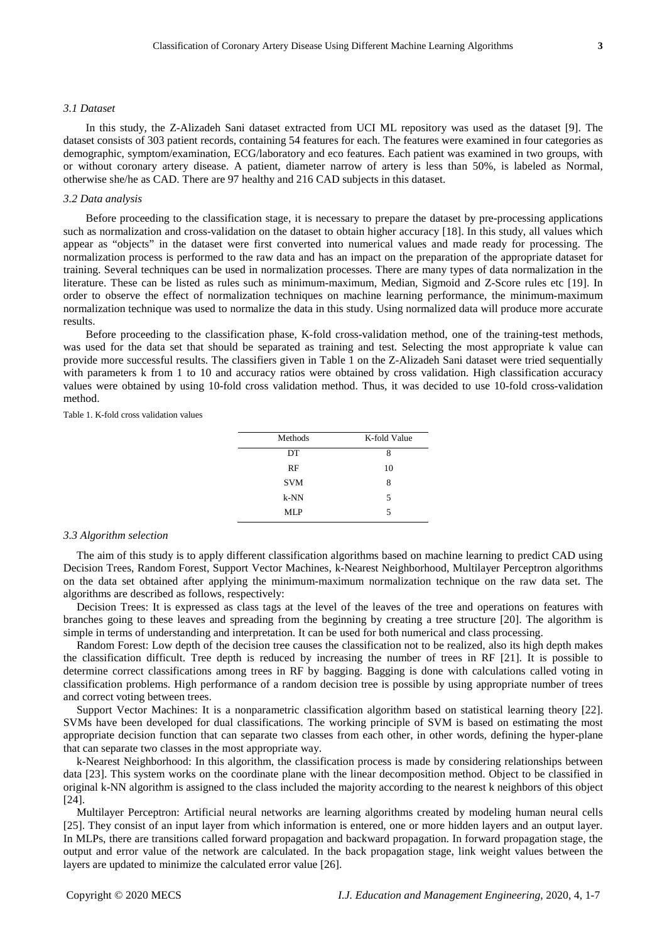#### *3.1 Dataset*

In this study, the Z-Alizadeh Sani dataset extracted from UCI ML repository was used as the dataset [9]. The dataset consists of 303 patient records, containing 54 features for each. The features were examined in four categories as demographic, symptom/examination, ECG/laboratory and eco features. Each patient was examined in two groups, with or without coronary artery disease. A patient, diameter narrow of artery is less than 50%, is labeled as Normal, otherwise she/he as CAD. There are 97 healthy and 216 CAD subjects in this dataset.

### *3.2 Data analysis*

Before proceeding to the classification stage, it is necessary to prepare the dataset by pre-processing applications such as normalization and cross-validation on the dataset to obtain higher accuracy [18]. In this study, all values which appear as "objects" in the dataset were first converted into numerical values and made ready for processing. The normalization process is performed to the raw data and has an impact on the preparation of the appropriate dataset for training. Several techniques can be used in normalization processes. There are many types of data normalization in the literature. These can be listed as rules such as minimum-maximum, Median, Sigmoid and Z-Score rules etc [19]. In order to observe the effect of normalization techniques on machine learning performance, the minimum-maximum normalization technique was used to normalize the data in this study. Using normalized data will produce more accurate results.

Before proceeding to the classification phase, K-fold cross-validation method, one of the training-test methods, was used for the data set that should be separated as training and test. Selecting the most appropriate k value can provide more successful results. The classifiers given in Table 1 on the Z-Alizadeh Sani dataset were tried sequentially with parameters k from 1 to 10 and accuracy ratios were obtained by cross validation. High classification accuracy values were obtained by using 10-fold cross validation method. Thus, it was decided to use 10-fold cross-validation method.

Table 1. K-fold cross validation values

| Methods    | K-fold Value |  |  |
|------------|--------------|--|--|
| DT         | 8            |  |  |
| RF         | 10           |  |  |
| <b>SVM</b> | 8            |  |  |
| $k-NN$     | 5            |  |  |
| MLP        | 5            |  |  |

#### *3.3 Algorithm selection*

The aim of this study is to apply different classification algorithms based on machine learning to predict CAD using Decision Trees, Random Forest, Support Vector Machines, k-Nearest Neighborhood, Multilayer Perceptron algorithms on the data set obtained after applying the minimum-maximum normalization technique on the raw data set. The algorithms are described as follows, respectively:

Decision Trees: It is expressed as class tags at the level of the leaves of the tree and operations on features with branches going to these leaves and spreading from the beginning by creating a tree structure [20]. The algorithm is simple in terms of understanding and interpretation. It can be used for both numerical and class processing.

Random Forest: Low depth of the decision tree causes the classification not to be realized, also its high depth makes the classification difficult. Tree depth is reduced by increasing the number of trees in RF [21]. It is possible to determine correct classifications among trees in RF by bagging. Bagging is done with calculations called voting in classification problems. High performance of a random decision tree is possible by using appropriate number of trees and correct voting between trees.

Support Vector Machines: It is a nonparametric classification algorithm based on statistical learning theory [22]. SVMs have been developed for dual classifications. The working principle of SVM is based on estimating the most appropriate decision function that can separate two classes from each other, in other words, defining the hyper-plane that can separate two classes in the most appropriate way.

k-Nearest Neighborhood: In this algorithm, the classification process is made by considering relationships between data [23]. This system works on the coordinate plane with the linear decomposition method. Object to be classified in original k-NN algorithm is assigned to the class included the majority according to the nearest k neighbors of this object [24].

Multilayer Perceptron: Artificial neural networks are learning algorithms created by modeling human neural cells [25]. They consist of an input layer from which information is entered, one or more hidden layers and an output layer. In MLPs, there are transitions called forward propagation and backward propagation. In forward propagation stage, the output and error value of the network are calculated. In the back propagation stage, link weight values between the layers are updated to minimize the calculated error value [26].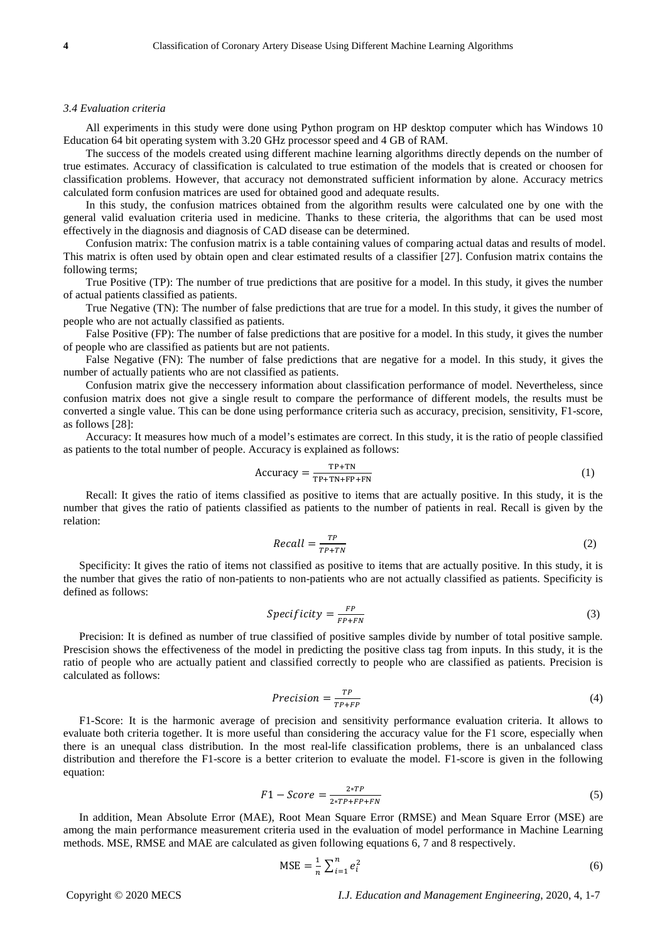#### *3.4 Evaluation criteria*

All experiments in this study were done using Python program on HP desktop computer which has Windows 10 Education 64 bit operating system with 3.20 GHz processor speed and 4 GB of RAM.

The success of the models created using different machine learning algorithms directly depends on the number of true estimates. Accuracy of classification is calculated to true estimation of the models that is created or choosen for classification problems. However, that accuracy not demonstrated sufficient information by alone. Accuracy metrics calculated form confusion matrices are used for obtained good and adequate results.

In this study, the confusion matrices obtained from the algorithm results were calculated one by one with the general valid evaluation criteria used in medicine. Thanks to these criteria, the algorithms that can be used most effectively in the diagnosis and diagnosis of CAD disease can be determined.

Confusion matrix: The confusion matrix is a table containing values of comparing actual datas and results of model. This matrix is often used by obtain open and clear estimated results of a classifier [27]. Confusion matrix contains the following terms;

True Positive (TP): The number of true predictions that are positive for a model. In this study, it gives the number of actual patients classified as patients.

True Negative (TN): The number of false predictions that are true for a model. In this study, it gives the number of people who are not actually classified as patients.

False Positive (FP): The number of false predictions that are positive for a model. In this study, it gives the number of people who are classified as patients but are not patients.

False Negative (FN): The number of false predictions that are negative for a model. In this study, it gives the number of actually patients who are not classified as patients.

Confusion matrix give the neccessery information about classification performance of model. Nevertheless, since confusion matrix does not give a single result to compare the performance of different models, the results must be converted a single value. This can be done using performance criteria such as accuracy, precision, sensitivity, F1-score, as follows [28]:

Accuracy: It measures how much of a model's estimates are correct. In this study, it is the ratio of people classified as patients to the total number of people. Accuracy is explained as follows:

$$
Accuracy = \frac{TP + TN}{TP + TN + FP + FN}
$$
 (1)

Recall: It gives the ratio of items classified as positive to items that are actually positive. In this study, it is the number that gives the ratio of patients classified as patients to the number of patients in real. Recall is given by the relation:

$$
Recall = \frac{TP}{TP + TN}
$$
 (2)

Specificity: It gives the ratio of items not classified as positive to items that are actually positive. In this study, it is the number that gives the ratio of non-patients to non-patients who are not actually classified as patients. Specificity is defined as follows:

$$
Specificity = \frac{FP}{FP + FN}
$$
 (3)

Precision: It is defined as number of true classified of positive samples divide by number of total positive sample. Prescision shows the effectiveness of the model in predicting the positive class tag from inputs. In this study, it is the ratio of people who are actually patient and classified correctly to people who are classified as patients. Precision is calculated as follows:

$$
Precision = \frac{TP}{TP + FP}
$$
 (4)

F1-Score: It is the harmonic average of precision and sensitivity performance evaluation criteria. It allows to evaluate both criteria together. It is more useful than considering the accuracy value for the F1 score, especially when there is an unequal class distribution. In the most real-life classification problems, there is an unbalanced class distribution and therefore the F1-score is a better criterion to evaluate the model. F1-score is given in the following equation:

$$
F1 - Score = \frac{2*TP}{2*TP + FP + FN} \tag{5}
$$

In addition, Mean Absolute Error (MAE), Root Mean Square Error (RMSE) and Mean Square Error (MSE) are among the main performance measurement criteria used in the evaluation of model performance in Machine Learning methods. MSE, RMSE and MAE are calculated as given following equations 6, 7 and 8 respectively.

$$
MSE = \frac{1}{n} \sum_{i=1}^{n} e_i^2
$$
 (6)

Copyright © 2020 MECS *I.J. Education and Management Engineering*, 2020, 4, 1-7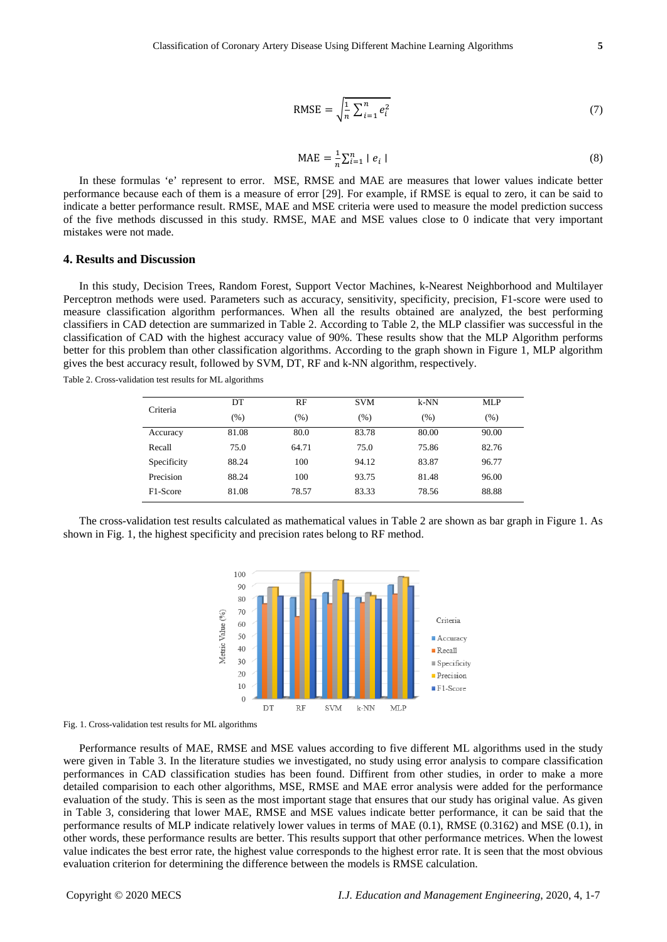$$
RMSE = \sqrt{\frac{1}{n} \sum_{i=1}^{n} e_i^2}
$$
 (7)

$$
MAE = \frac{1}{n} \sum_{i=1}^{n} |e_i|
$$
 (8)

In these formulas 'e' represent to error. MSE, RMSE and MAE are measures that lower values indicate better performance because each of them is a measure of error [29]. For example, if RMSE is equal to zero, it can be said to indicate a better performance result. RMSE, MAE and MSE criteria were used to measure the model prediction success of the five methods discussed in this study. RMSE, MAE and MSE values close to 0 indicate that very important mistakes were not made.

## **4. Results and Discussion**

In this study, Decision Trees, Random Forest, Support Vector Machines, k-Nearest Neighborhood and Multilayer Perceptron methods were used. Parameters such as accuracy, sensitivity, specificity, precision, F1-score were used to measure classification algorithm performances. When all the results obtained are analyzed, the best performing classifiers in CAD detection are summarized in Table 2. According to Table 2, the MLP classifier was successful in the classification of CAD with the highest accuracy value of 90%. These results show that the MLP Algorithm performs better for this problem than other classification algorithms. According to the graph shown in Figure 1, MLP algorithm gives the best accuracy result, followed by SVM, DT, RF and k-NN algorithm, respectively.

Table 2. Cross-validation test results for ML algorithms

| Criteria              | DT    | RF    | <b>SVM</b> | k-NN  | <b>MLP</b> |
|-----------------------|-------|-------|------------|-------|------------|
|                       | (%)   | (%)   | (%)        | (% )  | (% )       |
| Accuracy              | 81.08 | 80.0  | 83.78      | 80.00 | 90.00      |
| Recall                | 75.0  | 64.71 | 75.0       | 75.86 | 82.76      |
| Specificity           | 88.24 | 100   | 94.12      | 83.87 | 96.77      |
| Precision             | 88.24 | 100   | 93.75      | 81.48 | 96.00      |
| F <sub>1</sub> -Score | 81.08 | 78.57 | 83.33      | 78.56 | 88.88      |

The cross-validation test results calculated as mathematical values in Table 2 are shown as bar graph in Figure 1. As shown in Fig. 1, the highest specificity and precision rates belong to RF method.



Fig. 1. Cross-validation test results for ML algorithms

Performance results of MAE, RMSE and MSE values according to five different ML algorithms used in the study were given in Table 3. In the literature studies we investigated, no study using error analysis to compare classification performances in CAD classification studies has been found. Diffirent from other studies, in order to make a more detailed comparision to each other algorithms, MSE, RMSE and MAE error analysis were added for the performance evaluation of the study. This is seen as the most important stage that ensures that our study has original value. As given in Table 3, considering that lower MAE, RMSE and MSE values indicate better performance, it can be said that the performance results of MLP indicate relatively lower values in terms of MAE (0.1), RMSE (0.3162) and MSE (0.1), in other words, these performance results are better. This results support that other performance metrices. When the lowest value indicates the best error rate, the highest value corresponds to the highest error rate. It is seen that the most obvious evaluation criterion for determining the difference between the models is RMSE calculation.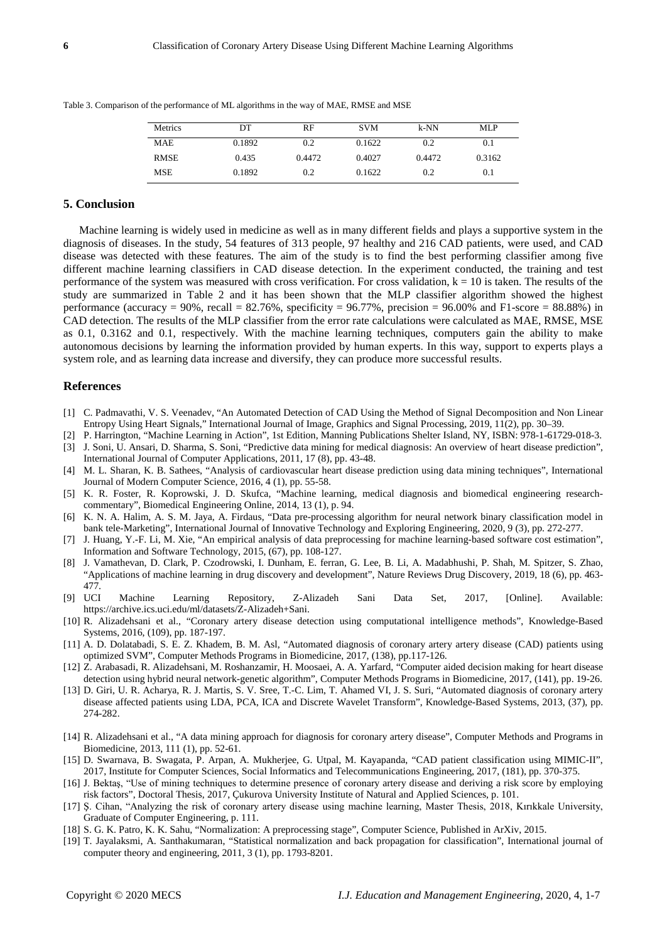| Metrics     | DT     | RF     | <b>SVM</b> | $k-NN$ | MLP     |
|-------------|--------|--------|------------|--------|---------|
| <b>MAE</b>  | 0.1892 | 0.2    | 0.1622     | 0.2    | $0.1\,$ |
| <b>RMSE</b> | 0.435  | 0.4472 | 0.4027     | 0.4472 | 0.3162  |
| MSE         | 0.1892 | 0.2    | 0.1622     | 0.2    | 0.1     |

Table 3. Comparison of the performance of ML algorithms in the way of MAE, RMSE and MSE

## **5. Conclusion**

Machine learning is widely used in medicine as well as in many different fields and plays a supportive system in the diagnosis of diseases. In the study, 54 features of 313 people, 97 healthy and 216 CAD patients, were used, and CAD disease was detected with these features. The aim of the study is to find the best performing classifier among five different machine learning classifiers in CAD disease detection. In the experiment conducted, the training and test performance of the system was measured with cross verification. For cross validation,  $k = 10$  is taken. The results of the study are summarized in Table 2 and it has been shown that the MLP classifier algorithm showed the highest performance (accuracy = 90%, recall =  $82.76\%$ , specificity =  $96.77\%$ , precision =  $96.00\%$  and F1-score =  $88.88\%$ ) in CAD detection. The results of the MLP classifier from the error rate calculations were calculated as MAE, RMSE, MSE as 0.1, 0.3162 and 0.1, respectively. With the machine learning techniques, computers gain the ability to make autonomous decisions by learning the information provided by human experts. In this way, support to experts plays a system role, and as learning data increase and diversify, they can produce more successful results.

## **References**

- [1] C. Padmavathi, V. S. Veenadev, "An Automated Detection of CAD Using the Method of Signal Decomposition and Non Linear Entropy Using Heart Signals," International Journal of Image, Graphics and Signal Processing, 2019, 11(2), pp. 30–39.
- [2] P. Harrington, "Machine Learning in Action", 1st Edition, Manning Publications Shelter Island, NY, ISBN: 978-1-61729-018-3.
- [3] J. Soni, U. Ansari, D. Sharma, S. Soni, "Predictive data mining for medical diagnosis: An overview of heart disease prediction", International Journal of Computer Applications, 2011, 17 (8), pp. 43-48.
- [4] M. L. Sharan, K. B. Sathees, "Analysis of cardiovascular heart disease prediction using data mining techniques", International Journal of Modern Computer Science, 2016, 4 (1), pp. 55-58.
- [5] K. R. Foster, R. Koprowski, J. D. Skufca, "Machine learning, medical diagnosis and biomedical engineering researchcommentary", Biomedical Engineering Online, 2014, 13 (1), p. 94.
- [6] K. N. A. Halim, A. S. M. Jaya, A. Firdaus, "Data pre-processing algorithm for neural network binary classification model in bank tele-Marketing", International Journal of Innovative Technology and Exploring Engineering, 2020, 9 (3), pp. 272-277.
- [7] J. Huang, Y.-F. Li, M. Xie, "An empirical analysis of data preprocessing for machine learning-based software cost estimation", Information and Software Technology, 2015, (67), pp. 108-127.
- [8] J. Vamathevan, D. Clark, P. Czodrowski, I. Dunham, E. ferran, G. Lee, B. Li, A. Madabhushi, P. Shah, M. Spitzer, S. Zhao, "Applications of machine learning in drug discovery and development", Nature Reviews Drug Discovery, 2019, 18 (6), pp. 463- 477.
- [9] UCI Machine Learning Repository, Z-Alizadeh Sani Data Set, 2017, [Online]. Available: https://archive.ics.uci.edu/ml/datasets/Z-Alizadeh+Sani.
- [10] R. Alizadehsani et al., "Coronary artery disease detection using computational intelligence methods", Knowledge-Based Systems, 2016, (109), pp. 187-197.
- [11] A. D. Dolatabadi, S. E. Z. Khadem, B. M. Asl, "Automated diagnosis of coronary artery artery disease (CAD) patients using optimized SVM", Computer Methods Programs in Biomedicine, 2017, (138), pp.117-126.
- [12] Z. Arabasadi, R. Alizadehsani, M. Roshanzamir, H. Moosaei, A. A. Yarfard, "Computer aided decision making for heart disease detection using hybrid neural network-genetic algorithm", Computer Methods Programs in Biomedicine, 2017, (141), pp. 19-26.
- [13] D. Giri, U. R. Acharya, R. J. Martis, S. V. Sree, T.-C. Lim, T. Ahamed VI, J. S. Suri, "Automated diagnosis of coronary artery disease affected patients using LDA, PCA, ICA and Discrete Wavelet Transform", Knowledge-Based Systems, 2013, (37), pp. 274-282.
- [14] R. Alizadehsani et al., "A data mining approach for diagnosis for coronary artery disease", Computer Methods and Programs in Biomedicine, 2013, 111 (1), pp. 52-61.
- [15] D. Swarnava, B. Swagata, P. Arpan, A. Mukherjee, G. Utpal, M. Kayapanda, "CAD patient classification using MIMIC-II", 2017, Institute for Computer Sciences, Social Informatics and Telecommunications Engineering, 2017, (181), pp. 370-375.
- [16] J. Bektaş, "Use of mining techniques to determine presence of coronary artery disease and deriving a risk score by employing risk factors", Doctoral Thesis, 2017, Çukurova University Institute of Natural and Applied Sciences, p. 101.
- [17] Ş. Cihan, "Analyzing the risk of coronary artery disease using machine learning, Master Thesis, 2018, Kırıkkale University, Graduate of Computer Engineering, p. 111.
- [18] S. G. K. Patro, K. K. Sahu, "Normalization: A preprocessing stage", Computer Science, Published in ArXiv, 2015.
- [19] T. Jayalaksmi, A. Santhakumaran, "Statistical normalization and back propagation for classification", International journal of computer theory and engineering, 2011, 3 (1), pp. 1793-8201.